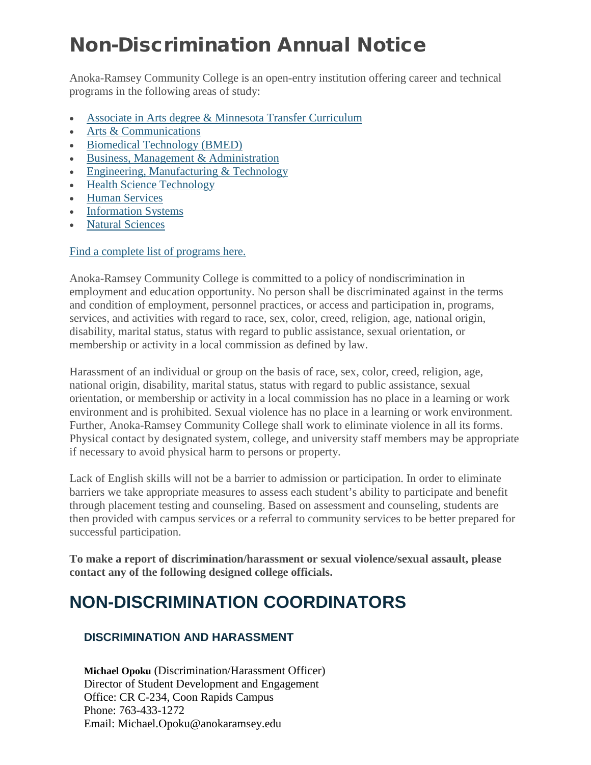# Non-Discrimination Annual Notice

Anoka-Ramsey Community College is an open-entry institution offering career and technical programs in the following areas of study:

- Associate in Arts degree & Minnesota Transfer [Curriculum](http://www.anokaramsey.edu/academics/programs-by-interest/#type=degrees&interest=associate-in-arts-degree-minnesota-transfer-curriculum-mntc)
- Arts & [Communications](http://www.anokaramsey.edu/academics/programs-by-interest/#type=degrees&interest=arts-communications)
- Biomedical [Technology](http://www.anokaramsey.edu/academics/programs-by-interest/#type=degrees&interest=biomedical-technology-bmed) (BMED)
- Business, Management & [Administration](http://www.anokaramsey.edu/academics/programs-by-interest/#type=degrees&interest=business-management-administration)
- Engineering, [Manufacturing](http://www.anokaramsey.edu/academics/programs-by-interest/#type=degrees&interest=engineering-manufacturing-technology) & Technology
- Health Science [Technology](http://www.anokaramsey.edu/academics/programs-by-interest/#type=degrees&interest=health-science-technology)
- Human [Services](http://www.anokaramsey.edu/academics/programs-by-interest/#type=degrees&interest=human-services)
- [Information](http://www.anokaramsey.edu/academics/programs-by-interest/#type=degrees&interest=information-systems) Systems
- Natural [Sciences](http://www.anokaramsey.edu/academics/programs-by-interest/#type=degrees&interest=natural-sciences)

### Find a complete list of [programs](http://www.anokaramsey.edu/academics/programs-a-z/) here.

Anoka-Ramsey Community College is committed to a policy of nondiscrimination in employment and education opportunity. No person shall be discriminated against in the terms and condition of employment, personnel practices, or access and participation in, programs, services, and activities with regard to race, sex, color, creed, religion, age, national origin, disability, marital status, status with regard to public assistance, sexual orientation, or membership or activity in a local commission as defined by law.

Harassment of an individual or group on the basis of race, sex, color, creed, religion, age, national origin, disability, marital status, status with regard to public assistance, sexual orientation, or membership or activity in a local commission has no place in a learning or work environment and is prohibited. Sexual violence has no place in a learning or work environment. Further, Anoka-Ramsey Community College shall work to eliminate violence in all its forms. Physical contact by designated system, college, and university staff members may be appropriate if necessary to avoid physical harm to persons or property.

Lack of English skills will not be a barrier to admission or participation. In order to eliminate barriers we take appropriate measures to assess each student's ability to participate and benefit through placement testing and counseling. Based on assessment and counseling, students are then provided with campus services or a referral to community services to be better prepared for successful participation.

**To make a report of discrimination/harassment or sexual violence/sexual assault, please contact any of the following designed college officials.**

## **NON-DISCRIMINATION COORDINATORS**

## **DISCRIMINATION AND HARASSMENT**

**Michael Opoku** (Discrimination/Harassment Officer) Director of Student Development and Engagement Office: CR C-234, Coon Rapids Campus Phone: 763-433-1272 Email: Michael.Opoku@anokaramsey.edu